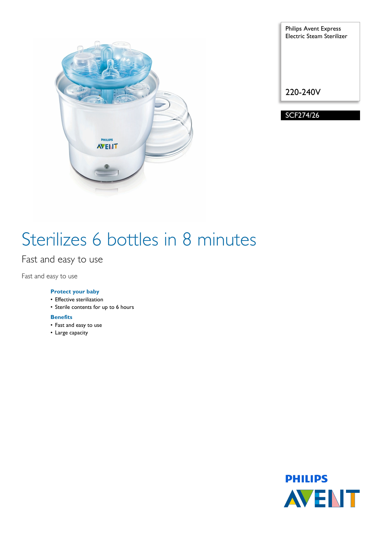

Philips Avent Express Electric Steam Sterilizer 220-240V

SCF274/26

# Sterilizes 6 bottles in 8 minutes

Fast and easy to use

Fast and easy to use

### **Protect your baby**

- Effective sterilization
- Sterile contents for up to 6 hours

#### **Benefits**

- Fast and easy to use
- Large capacity